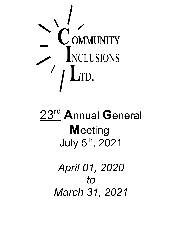

# 23<sup>rd</sup> Annual General **M**eeting July 5<sup>th</sup>, 2021

*April 01, 2020 to March 31, 2021*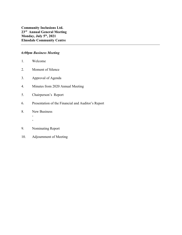# *6:00pm Business Meeting*

- 1. Welcome
- 2. Moment of Silence
- 3. Approval of Agenda
- 4. Minutes from 2020 Annual Meeting
- 5. Chairperson's Report
- 6. Presentation of the Financial and Auditor's Report
- 8. New Business

- -

- 9. Nominating Report
- 10. Adjournment of Meeting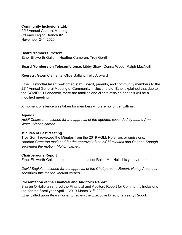#### **Community Inclusions Ltd.**

22<sup>nd</sup> Annual General Meeting, O'Leary Legion Branch #2 November 24<sup>th</sup>, 2020

#### **Board Members Present:**

Ethel Ellsworth-Gallant, Heather Cameron, Troy Gorrill

**Board Members on Teleconference:** Libby Shaw, Donna Wood, Ralph MacNeill

**\_\_\_\_\_\_\_\_\_\_\_\_\_\_\_\_\_\_\_\_\_\_\_\_\_\_\_\_\_\_\_\_\_\_\_\_\_\_\_\_\_\_\_\_\_\_\_\_\_\_\_\_\_\_\_\_\_\_\_\_\_\_\_\_\_\_\_**

**Regrets:** Gwen Clements, Olive Gallant, Telly Alyward

Ethel Ellsworth-Gallant welcomed staff, Board, parents, and community members to the  $22<sup>nd</sup>$  Annual General Meeting of Community Inclusions Ltd. Ethel explained that due to the COVID-19 Pandemic, there are families and clients missing and this will be a modified meeting.

A moment of silence was taken for members who are no longer with us.

#### **Agenda**

*Heidi Chaisson motioned for the approval of the agenda, seconded by Laurie Ann Waite. Motion carried.*

#### **Minutes of Last Meeting**

Troy Gorrill reviewed the Minutes from the 2019 AGM. No errors or omissions. *Heather Cameron motioned for the approval of the AGM minutes and Deanna Keough seconded the motion. Motion carried.*

#### **Chairpersons Report**

Ethel Ellsworth-Gallant presented, on behalf of Ralph MacNeill, his yearly report.

*David Baglole motioned for the approval of the Chairpersons Report. Nancy Arsenault seconded this motion. Motion carried.*

# **Presentation of the Financial and Auditor's Report**

Sharon O'Halloran shared the Financial and Auditors Report for Community Inclusions Ltd. for the fiscal year April 1, 2019-March  $31<sup>st</sup>$ , 2020. Ethel called upon Kevin Porter to review the Executive Director's Yearly Report.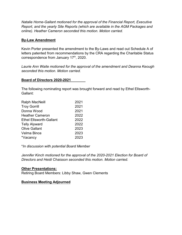*Natalie Horne-Gallant motioned for the approval of the Financial Report, Executive Report, and the yearly Site Reports (which are available in the AGM Packages and online). Heather Cameron seconded this motion. Motion carried.*

### **By-Law Amendment**

Kevin Porter presented the amendment to the By-Laws and read out Schedule A of letters patented from recommendations by the CRA regarding the Charitable Status correspondence from January  $17<sup>th</sup>$ , 2020.

*Laurie Ann Waite motioned for the approval of the amendment and Deanna Keough seconded this motion. Motion carried.*

#### **Board of Directors 2020-2021**

The following nominating report was brought forward and read by Ethel Ellsworth-Gallant:

| 2021 |
|------|
| 2021 |
| 2021 |
| 2022 |
| 2022 |
| 2022 |
| 2023 |
| 2023 |
| 2023 |
|      |

\**In discussion with potential Board Member*

*Jennifer Kinch motioned for the approval of the 2020-2021 Election for Board of Directors and Heidi Chaisson seconded this motion. Motion carried.*

# **Other Presentations:**

Retiring Board Members: Libby Shaw, Gwen Clements

#### **Business Meeting Adjourned**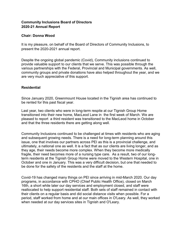# **Community Inclusions Board of Directors 2020-21 Annual Report**

#### **Chair: Donna Wood**

It is my pleasure, on behalf of the Board of Directors of Community Inclusions, to present the 2020-2021 annual report.

Despite the ongoing global pandemic (Covid), Community inclusions continued to provide valuable support to our clients that we serve. This was possible through the various partnerships with the Federal, Provincial and Municipal governments. As well, community groups and private donations have also helped throughout the year, and we are very much appreciative of this support.

#### **Residential**

Since January 2020, Greenmount House located in the Tignish area has continued to be rented for this past fiscal year.

Last year, two clients who were in long-term respite at our Tignish Group Home transitioned into their new home, MacLeod Lane in the first week of March. We are pleased to report a third resident was transitioned to the MacLeod home in October and that the three residents there are getting along well.

Community Inclusions continued to be challenged at times with residents who are aging and subsequent growing needs. There is a need for long-term planning around this issue, one that involves our partners across PEI as this is a provincial challenge, and ultimately, a national one as well. It is a fact that as our clients are living longer, and as they age, their needs become more complex. When they become more medically fragile, their need becomes more of a nursing type care. As a result, two of our longterm residents at the Tignish Group Home were moved to the Western Hospital, one in October and one in January. This was a very difficult decision, but one that needed to be done for the safety of the residents and the staff at the home.

Covid-19 has changed many things on PEI since arriving in mid-March 2020. Our day programs, in accordance with CPHO (Chief Public Health Office), closed on March 16th, a short while later our day services and employment closed, and staff were reallocated to help support residential staff. Both sets of staff remained in contact with their clients on a regular basis and did social distance visits when possible. For a period, staff worked from home and at our main offices in O'Leary. As well, they worked when needed at our day services sites in Tignish and O'Leary.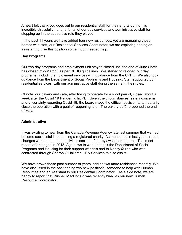A heart felt thank you goes out to our residential staff for their efforts during this incredibly stressful time, and for all of our day services and administrative staff for stepping up in the supportive role they played.

In the past 11 years we have added four new residences, yet are managing these homes with staff, our Residential Services Coordinator, we are exploring adding an assistant to give this position some much needed help.

#### **Day Programs**

Our two day programs and employment unit stayed closed until the end of June ( both has closed mid-March) as per CPHO guidelines. We started to re-open our day programs, including employment services with guidance from the CPHO. We also took guidance from the Department of Social Programs and Housing. Staff supported our residential services, with our administrative staff doing the same in their roles.

Of note, our bakery and cafe, after trying to operate for a short period, closed about a week after the Covid 19 Pandemic hit PEI. Given the circumstances, safety concerns and uncertainty regarding Covid-19, the board made the difficult decision to temporarily close the operation with a goal of reopening later. The bakery-café re-opened the end of May.

#### **Administrative**

It was exciting to hear from the Canada Revenue Agency late last summer that we had become successful in becoming a registered charity. As mentioned in last year's report, changes were made to the activities section of our bylaws letter patterns. This most recent effort began in 2018. Again, we to want to thank the Department of Social Programs and Housing for their support with this and to Nancy Quinn who was contracted through Sharon O'Halloran CPA Services to also assist.

We have grown these past number of years, adding two more residences recently. We have discussed in the past adding two new positions, someone to help with Human Resources and an Assistant to our Residential Coordinator. As a side note, we are happy to report that Rushell MacDonald was recently hired as our new Human Resource Coordinator.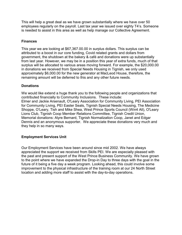This will help a great deal as we have grown substantially where we have over 50 employees regularly on the payroll. Last tax year we issued over eighty T4's. Someone is needed to assist in this area as well as help manage our Collective Agreement.

### **Finances**

This year we are looking at \$67,367.00.00 in surplus dollars. This surplus can be attributed to a boost in our core funding, Covid related grants and dollars from government, the shutdown at the bakery & café and donations were up substantially from last year. However, we may be in a position this year of extra funds, much of that surplus will be allocated to various areas moving forward. For example, the \$20,000.00 in donations we received from Special Needs Housing in Tignish, we only used approximately \$6,000.00 for the new generator at MacLeod House, therefore, the remaining amount will be deferred to this and any other future needs.

#### **Donations**

We would like extend a huge thank you to the following people and organizations that contributed financially to Community Inclusions. These include: Elmer and Jackie Arsenault, O'Leary Association for Community Living, PEI Association for Community Living, PEI Easter Seals, Tignish Special Needs Housing, The Medicine Shoppe, O'Leary, Tish and Mike Shea, West Prince Sports Council (Win4 All), O'Leary Lions Club, Tignish Coop Member Relations Committee, Tignish Credit Union, Memorial donations: Alyre Bernard, Tignish Normalization Coop, Janet and Edgar Dennis and an anonymous supporter. We appreciate these donations very much and they help in so many ways.

# **Employment Services Unit**

Our Employment Services have been around since mid 2002. We have always appreciated the support we received from Skills PEI. We are especially pleased with the past and present support of the West Prince Business Community. We have grown to the point where we have expanded the Drop-in Day to three days with the goal in the future of it being a five day a week program. Looking ahead, this could involve some improvement to the physical infrastructure of the training room at our 24 North Street location and adding more staff to assist with the day-to-day operations.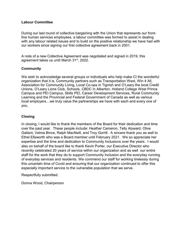#### **Labour Committee**

During our last round of collective bargaining with the Union that represents our frontline human services employees, a labour committee was formed to assist in dealing with any labour related issues and to build on the positive relationship we have had with our workers since signing our first collective agreement back in 2001.

A note of a new Collective Agreement was negotiated and signed in 2019, this agreement takes us until March  $31<sup>st</sup>$ , 2022.

# **Community**

We wish to acknowledge several groups or individuals who help make CI the wonderful organization that it is. Community partners such as Transportation West, Win 4 All, Association for Community Living, Local Co-ops in Tignish and O'Leary the local Credit Unions, O'Leary Lions Club, Schools, CBDC in Alberton, Holland College West Prince Campus and PEI Campus, Skills PEI, Career Development Services, Rural Community Learning and the Provincial and Federal Government of Canada as well as various local employers…we truly value the partnerships we have with each and every one of you.

#### **Closing**

In closing, I would like to thank the members of the Board for their dedication and time over the past year. These people include: Heather Cameron, Telly Alyward, Olive Gallant, Velma Bince, Ralph MacNeill, and Troy Gorrill. A sincere thank you as well to Ethel Ellsworth who was a Board member until February 2021. We so appreciate her expertise and the time and dedication to Community Inclusions over the years. I would also on behalf of the board like to thank Kevin Porter, our Executive Director who recently celebrated 20 years of service within our organization and as well our entire staff for the work that they do to support Community Inclusion and the everyday running of everyday services and residents. We commend our staff for working tirelessly during this uncertain time of Covid and ensuring that our organization continued to offer this especially important service to the vulnerable population that we serve.

Respectfully submitted.

Donna Wood, Chairperson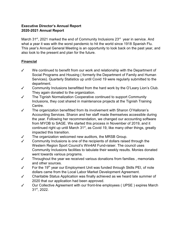# **Executive Director's Annual Report 2020-2021 Annual Report**

March 31<sup>st</sup>, 2021 marked the end of Community Inclusions  $23<sup>rd</sup>$  year in service. And what a year it was with the worst pandemic to hit the world since 1918 Spanish Flu. This year's Annual General Meeting is an opportunity to look back on the past year, and also look to the present and plan for the future.

# **Financial**

- $\checkmark$  We continued to benefit from our work and relationship with the Department of Social Programs and Housing ( formerly the Department of Family and Human Services). Quarterly Statistics up until Covid 19 were regularly submitted to the department.
- $\checkmark$  Community Inclusions benefitted from the hard work by the O'Leary Lion's Club. They again donated to the organization.
- $\checkmark$  The Tignish Normalization Cooperative continued to support Community Inclusions, they cost shared in maintenance projects at the Tignish Training Centre.
- $\checkmark$  The organization benefitted from its involvement with Sharon O'Halloran's Accounting Services. Sharon and her staff made themselves accessible during the year. Following her recommendation, we changed our accounting software from MYOB to SAGE. We started this process in November of 2019, and it continued right up until March  $31<sup>st</sup>$ , as Covid 19, like many other things, greatly impacted this transition.
- $\checkmark$  The organization welcomed new auditors, the MRSB Group.
- $\checkmark$  Community Inclusions is one of the recipients of dollars raised through the Western Region Sport Council's Win4All Fund-raiser. The council uses Community Inclusions facilities to tabulate their weekly results. Monies donated went towards various programs.
- $\checkmark$  Throughout the year we received various donations from families, memorials and other sources.
- $\checkmark$  For the 19<sup>th</sup> year our Employment Unit was funded through Skills PEI, of note dollars came from the Local Labor Market Development Agreement.
- $\checkmark$  Charitable Status Application was finally achieved as we heard late summer of 2020 that our application had been approved.
- $\checkmark$  Our Collective Agreement with our front-line employees (UPSE) expires March  $31<sup>st</sup>$ , 2022.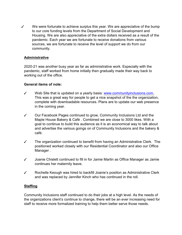$\checkmark$  We were fortunate to achieve surplus this year. We are appreciative of the bump to our core funding levels from the Department of Social Development and Housing. We are also appreciative of the extra dollars received as a result of the pandemic. Each year we are fortunate to receive donations from various sources, we are fortunate to receive the level of support we do from our community.

#### **Administrative**

2020-21 was another busy year as far as administrative work. Especially with the pandemic, staff worked from home initially then gradually made their way back to working out of the office.

#### **General items of note:**

- $\checkmark$  Web Site that is updated on a yearly basis: [www.communityinclusions.com.](http://www.communityinclusions.com.) This was a great way for people to get a nice snapshot of the the organization, complete with downloadable resources. Plans are to update our web presence in the coming year.
- $\checkmark$  Our Facebook Pages continued to grow, Community Inclusions Ltd and the Maple House Bakery & Café . Combined we are close to 3000 likes. With a goal to continue to build this audience as it is an economical way to talk about and advertise the various goings on of Community Inclusions and the bakery & café.
- $\checkmark$  The organization continued to benefit from having an Administrative Clerk. The positioned worked closely with our Residential Coordinator and also our Office Manager .
- $\checkmark$  Joanie Chislett continued to fill in for Jamie Martin as Office Manager as Jamie continues her maternity leave.
- $\checkmark$  Rochelle Keough was hired to backfill Joanie's posiiton as Administrative Clerk and was replaced by Jennifer Kinch who has continued in the roll.

# **Staffing**

Community Inclusions staff continued to do their jobs at a high level. As the needs of the organizations client's continue to change, there will be an ever increasing need for staff to receive more formalized training to help them better serve those needs.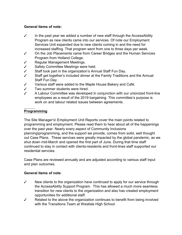# **General items of note:**

- $\checkmark$  In the past year we added a number of new staff through the AccessAbility Program as new clients came into our services. Of note our Employment Services Unit expanded due to new clients coming in and the need for increased staffing. That program went from one to three days per week.
- $\checkmark$  On the Job Placements came from Career Bridges and the Human Services Program from Holland College.
- $\checkmark$  Regular Management Meetings.
- $\checkmark$  Safety Committee Meetings were held.
- T Staff took part in the organization's Annual Staff Fun Day**.**
- $\checkmark$  Staff get together's included dinner at the Family Traditions and the Annual Staff Fun Day.
- $\checkmark$  Various staff were added to the Maple House Bakery and Café.
- $\checkmark$  Two summer students were hired.
- $\checkmark$  A Labour Committee was developed in conjunction with our unionized front-line employees as a result of the 2019 bargaining. This committee's purpose is work on and labour related issues between agreements.

# **Programming**

The Site Manager's\ Employment Unit Reports cover the main points related to programming and employment. Please read them to hear about all of the happenings over the past year. Nearly every aspect of Community Inclusions planning\programming, and the support we provide, comes from solid, well thought out Case Plans. These services were greatly impacted by the global pandemic, as we shut down mid-March and opened the first part of June. During that time staff continued to stay in contact with clients-residents and front-lines staff supported our residential servcies.

Case Plans are reviewed annually and are adjusted according to various staff input and plan outcomes.

# **General items of note**:

- $\checkmark$  New clients to the organization have continued to apply for our service through the AccessAbility Support Program. This has allowed a much more seamless transition for new clients to the organization and also has created employment opportunities for additional staff.
- $\checkmark$  Related to the above the organization continues to benefit from being involved with the Transitions Team at Westisle High School.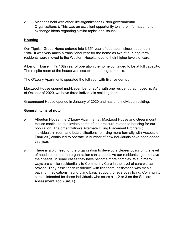$\checkmark$  Meetings held with other like-organizations (Non-governmental Organizations ). This was an excellent opportunity to share information and exchange ideas regarding similar topics and issues.

### **Housing**

Our Tignish Group Home entered into it  $35<sup>th</sup>$  year of operation, since it opened in 1986. It was very much a transitional year for the home as two of our long-term residents were moved to the Western Hospital due to their higher levels of care..

Alberton House in it's 10th year of operation the home continued to be at full capacity. The respite room at the house was occupied on a regular basis.

The O'Leary Apartments operated the full year with five residents .

MacLeod House opened mid-December of 2018 with one resident that moved in. As of October of 2020, we have three individuals residing there.

Greenmount House opened in January of 2020 and has one individual residing.

#### **General items of note**

- $\checkmark$  Alberton House, the O'Leary Apartments, MacLeod House and Greenmount House continued to alleviate some of the pressure related to housing for our population. The organization's Alternate Living Placement Program ( individuals in room and board situations, or living more formally with Associate Families ) continued to operate. A number of new individuals have been added this year.
- $\checkmark$  There is a big need for the organization to develop a clearer policy on the level of needs-care that the organization can support. As our residents age, so have their needs, in some cases they have become more complex. We in many ways are similar residentially to Community Care in the level of care we can provide. They assist each residence with light care, assistance with meals, bathing, medications, laundry and basic support for everyday living. Community care is intended for those individuals who score a 1, 2 or 3 on the Seniors Assessment Tool (SAST).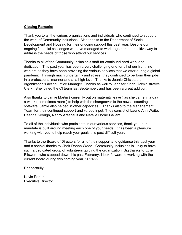### **Closing Remarks**

Thank you to all the various organizations and individuals who continued to support the work of Community Inclusions. Also thanks to the Department of Social Development and Housing for their ongoing support this past year. Despite our ongoing financial challenges we have managed to work together in a positive way to address the needs of those who attend our services.

Thanks to all of the Community Inclusion's staff for continued hard work and dedication. This past year has been a very challenging one for all of our front-line workers as they have been providing the various services that we offer during a global pandemic. Through much uncertainly and stress, they continued to perform their jobs in a professional manner and at a high level. Thanks to Joanie Chislett the organization's acting Office Manager. Thanks as well to Jennifer Kinch, Administrative Clerk. She joined the CI team last September, and has been a great addition.

Also thanks to Jamie Martin ( currently out on maternity leave ) as she came in a day a week ( sometimes more ) to help with the changeover to the new accounting software, Jamie also helped in other capacities. . Thanks also to the Management Team for their continued support and valued input. They consist of Laurie Ann Waite, Deanna Keough, Nancy Arsenault and Natalie Horne Gallant.

To all of the individuals who participate in our various services, thank you, our mandate is built around meeting each one of your needs. It has been a pleasure working with you to help reach your goals this past difficult year.

Thanks to the Board of Directors for all of their support and guidance this past year and a special thanks to Chair Donna Wood. Community Inclusions is lucky to have such a dedicated group of volunteers guiding the organization. Big thanks to Ethel Ellsworth who stepped down this past February. I look forward to working with the current board during this coming year, 2021-22.

Respectfully,

Kevin Porter Executive Director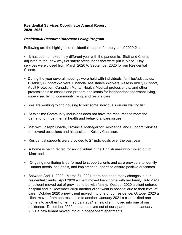# **Residential Services Coordinator Annual Report 2020- 2021**

#### *Residential Resource/Alternate Living Program*

Following are the highlights of residential support for the year of 2020-21:

 $\triangleright$  It has been an extremely different year with the pandemic. Staff and Clients adjusted to the new ways of safety precautions that were put in place. Day services were closed from March 2020 to September 2020 for our Residential Clients.

- $\triangleright$  During the year several meetings were held with individuals, families/advocates, Disability Support Workers, Financial Assistance Workers, Assess Ability Support, Adult Protection, Canadian Mental Health, Medical professionals, and other professionals to assess and prepare applicants for independent apartment living, supervised living, community living, and respite care.
- $\triangleright$  We are working to find housing to suit some individuals on our waiting list.
- $\triangleright$  At this time Community Inclusions does not have the resources to meet the demand for most mental health and behavioral care issues.
- ► Met with Joseph Coade, Provincial Manager for Residential and Support Services on several occasions and his assistant Kelsey Chaisson.
- $\triangleright$  Residential supports were provided to 27 individuals over the past year.
- $\triangleright$  A home is being rented for an individual in the Tignish area who moved out of MacLeod.
- < Ongoing monitoring is performed to support clients and care providers to identify unmet needs, set goals, and implement supports to ensure positive outcomes.
- ► Between April 1, 2020 March 31, 2021 there has been many changes in our residential clients. April 2020 a client moved back home with her family. July 2020 a resident moved out of province to be with family. October 2020 a client entered hospital and in December 2020 another client went in hospital due to their level of care. October 2020 a new client moved into one of our residence. October 2020 a client moved from one residence to another. January 2021 a client exited one home into another home. February 2021 a new client moved into one of our residence. December 2020 a tenant moved out of our apartment and January 2021 a new tenant moved into our independent apartments.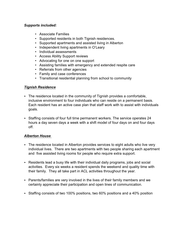# *Supports included:*

- Associate Families
- Supported residents in both Tignish residences.
- Supported apartments and assisted living in Alberton
- Independent living apartments in O'Leary
- Individual assessments
- Access Ability Support reviews
- Advocating for one on one support
- Assisting families with emergency and extended respite care
- Referrals from other agencies
- Family and case conferences
- Transitional residential planning from school to community

# *Tignish Residence*

- $\triangleright$  The residence located in the community of Tignish provides a comfortable, inclusive environment to four individuals who can reside on a permanent basis. Each resident has an active case plan that staff work with to assist with individuals goals.
- $\rightarrow$  Staffing consists of four full time permanent workers. The service operates 24 hours a day seven days a week with a shift model of four days on and four days off.

#### *Alberton House*

- $\triangleright$  The residence located in Alberton provides services to eight adults who live very individual lives. There are two apartments with two people sharing each apartment and five assisted living rooms for people who require extra support.
- $\triangleright$  Residents lead a busy life with their individual daily programs, jobs and social activities. Every six weeks a resident spends the weekend and quality time with their family. They all take part in ACL activities throughout the year.
- < Parents/families are very involved in the lives of their family members and we certainly appreciate their participation and open lines of communication.
- $\triangleright$  Staffing consists of two 100% positions, two 60% positions and a 40% position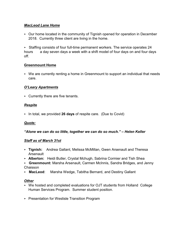# *MacLeod Lane Home*

< Our home located in the community of Tignish opened for operation in December 2018. Currently three client are living in the home.

< Staffing consists of four full-time permanent workers. The service operates 24 hours a day seven days a week with a shift model of four days on and four days off.

# **Greenmount Home**

 $\triangleright$  We are currently renting a home in Greenmount to support an individual that needs care.

# *O'Leary Apartments*

 $\triangleright$  Currently there are five tenants.

# *Respite*

< In total, we provided **26 days** of respite care. (Due to Covid)

# *Quote:*

# *"Alone we can do so little, together we can do so much." – Helen Keller*

# *Staff as of March 31st*

- < **Tignish:** Andrea Gallant, Melissa McMillan, Gwen Arsenault and Theresa Arsenault
- < **Alberton:** Heidi Butler, Crystal Mchugh, Sabrina Cormier and Tish Shea
- < **Greenmount:** Marsha Arsenault, Carmen McInnis, Sandra Bridges, and Jenny Chaisson
- < **MacLeod**: Marsha Wedge, Tabitha Bernard, and Destiny Gallant

# *Other*

- < We hosted and completed evaluations for OJT students from Holland College Human Services Program. Summer student position.
- ▶ Presentation for Westisle Transition Program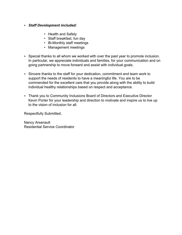#### < *Staff Development included:*

- Health and Safety
- Staff breakfast, fun day
- Bi-Monthly staff meetings
- Management meetings
- $\triangleright$  Special thanks to all whom we worked with over the past year to promote inclusion. In particular, we appreciate individuals and families, for your communication and on going partnership to move forward and assist with individual goals.
- $\triangleright$  Sincere thanks to the staff for your dedication, commitment and team work to support the needs of residents to have a meaningful life. You are to be commended for the excellent care that you provide along with the ability to build individual healthy relationships based on respect and acceptance.
- ▶ Thank you to Community Inclusions Board of Directors and Executive Director Kevin Porter for your leadership and direction to motivate and inspire us to live up to the vision of inclusion for all.

Respectfully Submitted,

Nancy Arsenault Residential Service Coordinator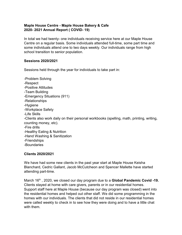# **Maple House Centre - Maple House Bakery & Cafe 2020- 2021 Annual Report ( COVID- 19)**

In total we had twenty- one individuals receiving service here at our Maple House Centre on a regular basis. Some individuals attended full-time, some part time and some individuals attend one to two days weekly. Our individuals range from high school transition to senior population.

#### **Sessions 2020/2021**

Sessions held through the year for individuals to take part in:

-Problem Solving -Respect -Positive Attitudes -Team Building -Emergency Situations (911) -Relationships -Hygiene -Workplace Safety -Life Skills -Clients also work daily on their personal workbooks (spelling, math, printing, writing, counting money, etc). -Fire drills -Healthy Eating & Nutrition -Hand Washing & Sanitization -Friendships -Boundaries

# **Clients 2020/2021**

We have had some new clients in the past year start at Maple House Keisha Blanchard, Cedric Gallant, Jacob McCutcheon and Spencer Mallette have started attending part-time.

March 16<sup>th</sup>, 2020, we closed our day program due to a **Global Pandemic Covid -19.** Clients stayed at home with care givers, parents or in our residential homes. Support staff here at Maple House (because our day program was closed) went into the residential homes and helped out other staff. We did some programming in the homes with our individuals. The clients that did not reside in our residential homes were called weekly to check in to see how they were doing and to have a little chat with them.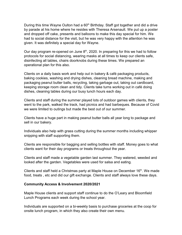During this time Wayne Oulton had a 60<sup>th</sup> Birthday. Staff got together and did a drive by parade at his home where he resides with Theresa Arsenault. We put up a poster and dropped off cake, presents and balloons to make this day special for him. We had to social distance for the visit, but he was very happy with the attention he was given. It was definitely a special day for Wayne.

Our day program re-opened on June  $8<sup>th</sup>$ , 2020. In preparing for this we had to follow protocols for social distancing, wearing masks at all times to keep our clients safe, disinfecting all tables, chairs doorknobs during these times. We prepared an operational plan for this also.

Clients on a daily basis work and help out in bakery & café packaging products, baking cookies, washing and drying dishes, cleaning bread machine, making and packaging peanut butter balls, recycling, taking garbage out, taking out cardboard, keeping storage room clean and tidy. Clients take turns working out in café doing dishes, cleaning tables during our busy lunch hours each day.

Clients and staff during the summer played lots of outdoor games with clients, they went to the park, walked the track, had picnics and had barbeques. Because of Covid we were limited to outings but made the best out of our summer.

Clients have a huge part in making peanut butter balls all year long to package and sell in our bakery.

Individuals also help with grass cutting during the summer months including whipper snipping with staff supporting them.

Clients are responsible for bagging and selling bottles with staff. Money goes to what clients want for their day programs or treats throughout the year.

Clients and staff made a vegetable garden last summer. They watered, weeded and looked after the garden. Vegetables were used for salsa and eating.

Clients and staff held a Christmas party at Maple House on December  $16<sup>th</sup>$ . We made food, treats , etc and did our gift exchange. Clients and staff always love these days.

#### **Community Access & Involvement 2020/2021**

Maple House clients and support staff continue to do the O'Leary and Bloomfield Lunch Programs each week during the school year.

Individuals are supported on a bi-weekly basis to purchase groceries at the coop for onsite lunch program, in which they also create their own menu.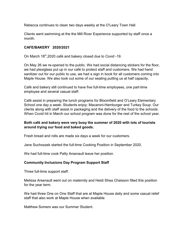Rebecca continues to clean two days weekly at the O'Leary Town Hall.

Clients went swimming at the the Mill River Experience supported by staff once a month.

#### **CAFE/BAKERY 2020/2021**

On March  $18<sup>th</sup>$ , 2020 café and bakery closed due to Covid -19.

On May 26 we re-opened to the public. We had social distancing stickers for the floor, we had plexiglass put up in our café to protect staff and customers. We had hand sanitizer out for our public to use, we had a sign in book for all customers coming into Maple House. We also took out some of our seating putting us at half capacity.

Café and bakery still continued to have five full-time employees, one part-time employee and several casual staff.

Café assist in preparing the lunch programs for Bloomfield and O'Leary Elementary School one day a week. Students enjoy: Macaroni-Hamburger and Turkey Soup. Our clients along with staff assist in packaging and the delivery of the food to the schools. When Covid hit in March our school program was done for the rest of the school year.

#### **Both café and bakery were very busy the summer of 2020 with lots of tourists around trying our food and baked goods.**

Fresh bread and rolls are made six days a week for our customers.

Jane Suchoszek started the full-time Cooking Position in September 2020.

We had full-time cook Patty Arsenault leave her position.

#### **Community Inclusions Day Program Support Staff**

Three full-time support staff.

Melissa Arsenault went out on maternity and Heidi Shea Chaisson filled this position for the year term.

We had three One on One Staff that are at Maple House daily and some casual relief staff that also work at Maple House when available

Matthew Somers was our Summer Student.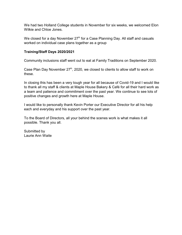We had two Holland College students in November for six weeks, we welcomed Elon Wilkie and Chloe Jones.

We closed for a day November 27<sup>th</sup> for a Case Planning Day. All staff and casuals worked on individual case plans together as a group

#### **Training/Staff Days 2020/2021**

Community inclusions staff went out to eat at Family Traditions on September 2020.

Case Plan Day November  $27<sup>th</sup>$ , 2020, we closed to clients to allow staff to work on these.

In closing this has been a very tough year for all because of Covid-19 and I would like to thank all my staff & clients at Maple House Bakery & Café for all their hard work as a team and patience and commitment over the past year. We continue to see lots of positive changes and growth here at Maple House.

I would like to personally thank Kevin Porter our Executive Director for all his help each and everyday and his support over the past year.

To the Board of Directors, all your behind the scenes work is what makes it all possible. Thank you all.

Submitted by Laurie Ann Waite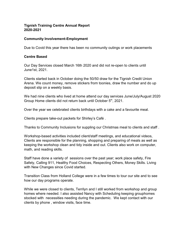# **Tignish Training Centre Annual Report 2020-2021**

#### **Community Involvement-Employment**

Due to Covid this year there has been no community outings or work placements

#### **Centre Based**

Our Day Services closed March 16th 2020 and did not re-open to clients until June1st, 2021.

Clients started back in October doing the 50/50 draw for the Tignish Credit Union Arena. We count money, remove stickers from toonies, draw the number and do up deposit slip on a weekly basis.

We had nine clients who lived at home attend our day services June/July/August 2020 Group Home clients did not return back until October 5<sup>th</sup>, 2021.

Over the year we celebrated clients birthdays with a cake and a favourite meal.

Clients prepare take-out packets for Shirley's Café .

Thanks to Community Inclusions for suppling our Christmas meal to clients and staff .

Workshop-based activities included client/staff meetings, and educational videos, Clients are responsible for the planning, shopping and preparing of meals as well as keeping the workshop clean and tidy inside and out. Clients also work on computer, math, and reading skills.

Staff have done a variety of sessions over the past year; work place safety, Fire Safety, Calling 911, Healthy Food Choices, Respecting Others, Money Skills. Living with New Changes since Covid started.

Transition Class from Holland College were in a few times to tour our site and to see how our day programs operate.

While we were closed to clients, Terrilyn and I still worked from workshop and group homes where needed. I also assisted Nancy with Scheduling keeping grouphomes stocked with necessities needing during the pandemic. We kept contact with our clients by phone , window visits, face time.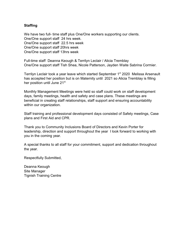# **Staffing**

We have two full- time staff plus One/One workers supporting our clients. One/One support staff 24 hrs week. One/One support staff 22.5 hrs week One/One support staff 20hrs week One/One support staff 13hrs week

Full-time staff Deanna Keough & Terrilyn Leclair / Alicia Tremblay One/One support staff Tish Shea, Nicole Patterson, Jayden Waite Sabrina Cormier.

Terrilyn Leclair took a year leave which started September 1<sup>st</sup> 2020 Melissa Arsenault has accepted her position but is on Maternity until 2021 so Alicia Tremblay is filling her position until June 21<sup>st.</sup>

Monthly Management Meetings were held so staff could work on staff development days, family meetings, health and safety and case plans. These meetings are beneficial in creating staff relationships, staff support and ensuring accountability within our organization.

Staff training and professional development days consisted of Safety meetings, Case plans and First Aid and CPR.

Thank you to Community Inclusions Board of Directors and Kevin Porter for leadership, direction and support throughout the year I look forward to working with you in the coming year.

A special thanks to all staff for your commitment, support and dedication throughout the year.

Respectfully Submitted,

Deanna Keough Site Manager Tignish Training Centre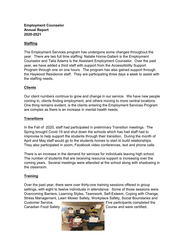# **Employment Counselor Annual Report 2020-2021**

# **Staffing**

The Employment Services program has undergone some changes throughout the year. There are two full time staffing: Natalie Horne-Gallant is the Employment Counselor and Talia Adams is the Assistant Employment Counselor. Over the past year, we have added a third staff with support from the AccessAbility Support Program through one on one hours. The program has also gained support through the Haywood Residence staff. They are participating three days a week to assist with the staffing needs.

# **Clients**

Our client numbers continue to grow and change in our service. We have new people coming in, clients finding employment, and others moving to more central locations. One thing remains evident, is the clients entering the Employment Services Program are complex as there is an increase in mental health needs.

# **Transitions**

In the Fall of 2020, staff had participated in preliminary Transition meetings. The Spring brought Covid 19 and shut down the schools which has had staff had to improvise to help support the students through their transition. During the month of April and May staff would go to the students homes to start to build relationships. They also participated in zoom, Facebook video conferences, text and phone calls.

There is an increase in the demand for services for individuals leaving high school. The number of students that are receiving resource support is increasing over the coming years. Several meetings were attended at the school along with shadowing in the classroom.

# **Training**

Over the past year, there were over thirty-one training sessions offered in group settings, with eight to twelve individuals in attendance. Some of those sessions were Overcoming Barriers, Learning Styles, Teamwork, Self-Esteem, Coping with Change, Stress Management, Lawn Mower Safety, Workplace Safety, Social Boundaries and



Customer Service. Five participants completed the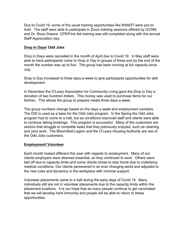Due to Covid 19, some of the usual training opportunities like MANDT were put on hold. The staff were able to participate in Zoom training sessions offered by OCSM, and Dr. Ross Greene CPR/First Aid training was still completed along with the annual Staff Appreciation day.

# **Drop In Days/ Odd Jobs**

Drop in Days were cancelled in the month of April due to Covid 19. In May staff were able to have participants come to Drop in Day in groups of three and by the end of the month the number was up to five. The group has been running at full capacity since July.

Drop in Day increased to three days a week to give participants opportunities for skill development.

In December the O'Leary Association for Community Living gave the Drop in Day a donation of two hundred dollars. This money was used to purchase items for our kitchen. This allows the group to prepare meals three days a week.

The group numbers change based on the days a week and employment numbers. The DID is used as a base for the Odd Jobs program. In the Spring the Odd Jobs program had to come to a halt, but as conditions improved staff and clients were able to continue taking bookings. This program is successful. Many of the customers are seniors that struggle to complete tasks that they previously enjoyed, such as cleaning and yard work. The Bloomfield Legion and the O'Leary Housing Authority are two of the Odd Jobs customers.

#### **Employment/ Volunteer**

Each month looked different this year with regards to employment. Many of our clients employers were deemed essential, so they continued to work. Others were laid off due to capacity limits and some clients chose to stay home due to underlying medical conditions. Our clients persevered in an ever changing world and adjusted to the new rules and dynamics in the workplace with minimal support.

Volunteer placements came to a halt during the early days of Covid 19. Many individuals still are not in volunteer placements due to the capacity limits within the placement locations. It is our hope that as many people continue to get vaccinated that we will develop herd immunity and people will be able to return to these opportunities.